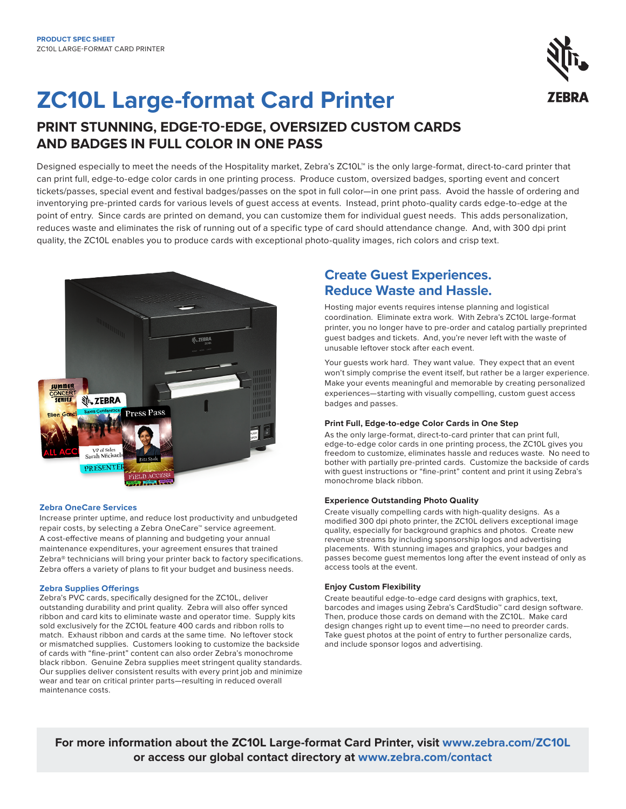# **ZC10L Large-format Card Printer**

## **PRINT STUNNING, EDGE-TO-EDGE, OVERSIZED CUSTOM CARDS AND BADGES IN FULL COLOR IN ONE PASS**

Designed especially to meet the needs of the Hospitality market, Zebra's ZC10L™ is the only large-format, direct-to-card printer that can print full, edge-to-edge color cards in one printing process. Produce custom, oversized badges, sporting event and concert tickets/passes, special event and festival badges/passes on the spot in full color—in one print pass. Avoid the hassle of ordering and inventorying pre-printed cards for various levels of guest access at events. Instead, print photo-quality cards edge-to-edge at the point of entry. Since cards are printed on demand, you can customize them for individual guest needs. This adds personalization, reduces waste and eliminates the risk of running out of a specific type of card should attendance change. And, with 300 dpi print quality, the ZC10L enables you to produce cards with exceptional photo-quality images, rich colors and crisp text.



## **Zebra OneCare Services**

Increase printer uptime, and reduce lost productivity and unbudgeted repair costs, by selecting a Zebra OneCare™ service agreement. A cost-effective means of planning and budgeting your annual maintenance expenditures, your agreement ensures that trained Zebra® technicians will bring your printer back to factory specifications. Zebra offers a variety of plans to fit your budget and business needs.

## **Zebra Supplies Offerings**

Zebra's PVC cards, specifically designed for the ZC10L, deliver outstanding durability and print quality. Zebra will also offer synced ribbon and card kits to eliminate waste and operator time. Supply kits sold exclusively for the ZC10L feature 400 cards and ribbon rolls to match. Exhaust ribbon and cards at the same time. No leftover stock or mismatched supplies. Customers looking to customize the backside of cards with "fine-print" content can also order Zebra's monochrome black ribbon. Genuine Zebra supplies meet stringent quality standards. Our supplies deliver consistent results with every print job and minimize wear and tear on critical printer parts—resulting in reduced overall maintenance costs.

## **Create Guest Experiences. Reduce Waste and Hassle.**

Hosting major events requires intense planning and logistical coordination. Eliminate extra work. With Zebra's ZC10L large-format printer, you no longer have to pre-order and catalog partially preprinted guest badges and tickets. And, you're never left with the waste of unusable leftover stock after each event.

Your guests work hard. They want value. They expect that an event won't simply comprise the event itself, but rather be a larger experience. Make your events meaningful and memorable by creating personalized experiences—starting with visually compelling, custom guest access badges and passes.

## **Print Full, Edge-to-edge Color Cards in One Step**

As the only large-format, direct-to-card printer that can print full, edge-to-edge color cards in one printing process, the ZC10L gives you freedom to customize, eliminates hassle and reduces waste. No need to bother with partially pre-printed cards. Customize the backside of cards with guest instructions or "fine-print" content and print it using Zebra's monochrome black ribbon.

## **Experience Outstanding Photo Quality**

Create visually compelling cards with high-quality designs. As a modified 300 dpi photo printer, the ZC10L delivers exceptional image quality, especially for background graphics and photos. Create new revenue streams by including sponsorship logos and advertising placements. With stunning images and graphics, your badges and passes become guest mementos long after the event instead of only as access tools at the event.

## **Enjoy Custom Flexibility**

Create beautiful edge-to-edge card designs with graphics, text, barcodes and images using Zebra's CardStudio™ card design software. Then, produce those cards on demand with the ZC10L. Make card design changes right up to event time—no need to preorder cards. Take guest photos at the point of entry to further personalize cards, and include sponsor logos and advertising.

**For more information about the ZC10L Large-format Card Printer, visit [www.zebra.com](https://www.zebra.com/us/en/products/printers/desktop/compact-desktop-printers.html)/ZC10L or access our global contact directory at [www.zebra.com/contact](https://www.zebra.com/us/en/about-zebra/contact-us/contact-zebra.html)**